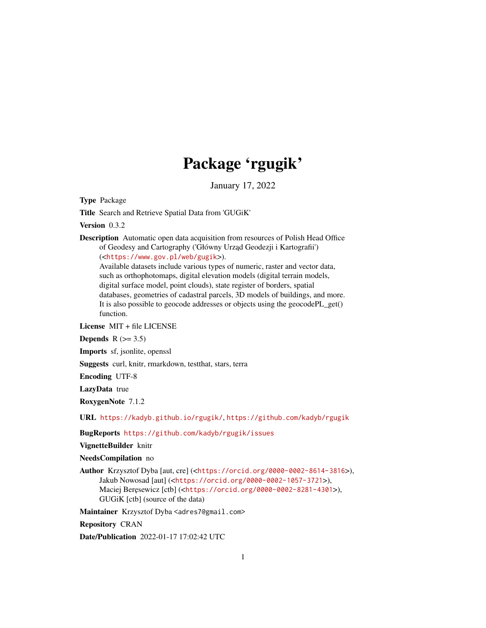# Package 'rgugik'

January 17, 2022

<span id="page-0-0"></span>Type Package

Title Search and Retrieve Spatial Data from 'GUGiK'

Version 0.3.2

Description Automatic open data acquisition from resources of Polish Head Office of Geodesy and Cartography ('Główny Urząd Geodezji i Kartografii') (<<https://www.gov.pl/web/gugik>>).

Available datasets include various types of numeric, raster and vector data, such as orthophotomaps, digital elevation models (digital terrain models, digital surface model, point clouds), state register of borders, spatial databases, geometries of cadastral parcels, 3D models of buildings, and more. It is also possible to geocode addresses or objects using the geocodePL\_get() function.

License MIT + file LICENSE

Depends  $R$  ( $> = 3.5$ )

Imports sf, jsonlite, openssl

Suggests curl, knitr, rmarkdown, testthat, stars, terra

Encoding UTF-8

LazyData true

RoxygenNote 7.1.2

URL <https://kadyb.github.io/rgugik/>, <https://github.com/kadyb/rgugik>

BugReports <https://github.com/kadyb/rgugik/issues>

VignetteBuilder knitr

NeedsCompilation no

Author Krzysztof Dyba [aut, cre] (<<https://orcid.org/0000-0002-8614-3816>>), Jakub Nowosad [aut] (<<https://orcid.org/0000-0002-1057-3721>>), Maciej Beręsewicz [ctb] (<<https://orcid.org/0000-0002-8281-4301>>), GUGiK [ctb] (source of the data)

Maintainer Krzysztof Dyba <adres7@gmail.com>

Repository CRAN

Date/Publication 2022-01-17 17:02:42 UTC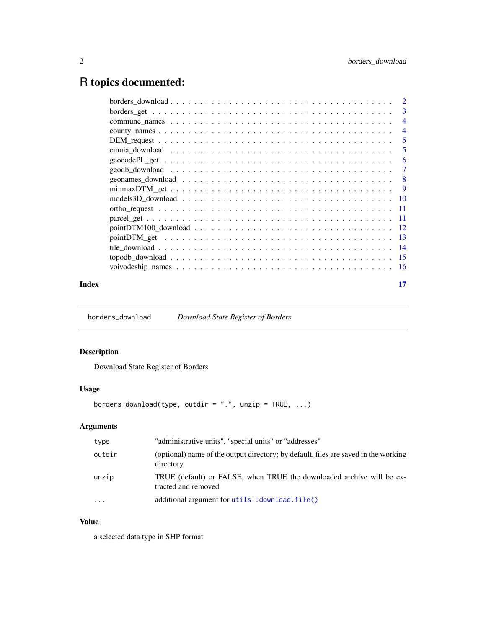# <span id="page-1-0"></span>R topics documented:

| 3              |
|----------------|
| $\overline{4}$ |
| $\overline{4}$ |
| 5              |
| 5              |
| 6              |
| 7              |
| -8             |
| - 9            |
|                |
|                |
|                |
|                |
|                |
|                |
|                |
|                |
|                |

#### **Index** [17](#page-16-0)

borders\_download *Download State Register of Borders*

# Description

Download State Register of Borders

# Usage

```
borders_download(type, outdir = ".", unzip = TRUE, ...)
```
# Arguments

| type    | "administrative units", "special units" or "addresses"                                           |
|---------|--------------------------------------------------------------------------------------------------|
| outdir  | (optional) name of the output directory; by default, files are saved in the working<br>directory |
| unzip   | TRUE (default) or FALSE, when TRUE the downloaded archive will be ex-<br>tracted and removed     |
| $\cdot$ | additional argument for utils:: download.file()                                                  |

# Value

a selected data type in SHP format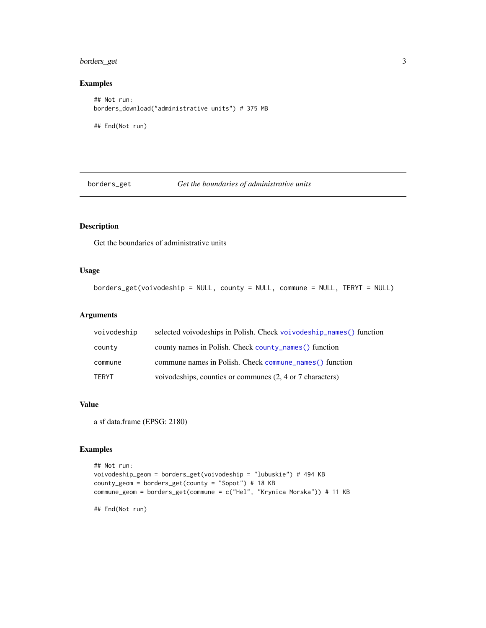# <span id="page-2-0"></span>borders\_get 3

### Examples

```
## Not run:
borders_download("administrative units") # 375 MB
## End(Not run)
```
borders\_get *Get the boundaries of administrative units*

# Description

Get the boundaries of administrative units

# Usage

```
borders_get(voivodeship = NULL, county = NULL, commune = NULL, TERYT = NULL)
```
#### Arguments

| voivodeship | selected voivodeships in Polish. Check voivodeship_names() function |
|-------------|---------------------------------------------------------------------|
| county      | county names in Polish. Check county names () function              |
| commune     | commune names in Polish. Check commune names () function            |
| TERYT       | voivodeships, counties or communes (2, 4 or 7 characters)           |

#### Value

a sf data.frame (EPSG: 2180)

# Examples

```
## Not run:
voivodeship_geom = borders_get(voivodeship = "lubuskie") # 494 KB
county_geom = borders_get(county = "Sopot") # 18 KB
commune_geom = borders_get(commune = c("Hel", "Krynica Morska")) # 11 KB
## End(Not run)
```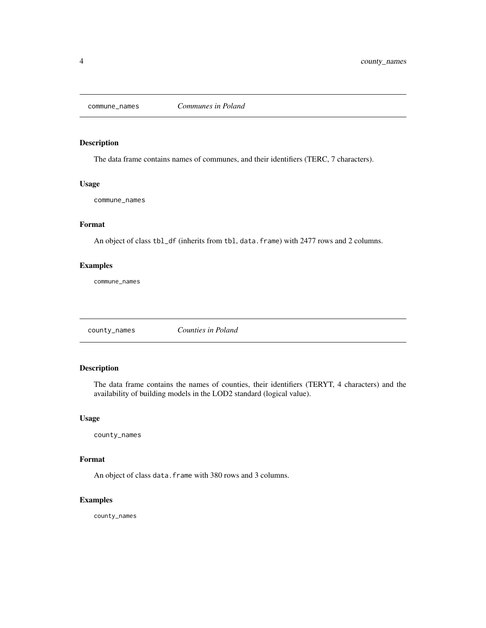<span id="page-3-2"></span><span id="page-3-0"></span>

The data frame contains names of communes, and their identifiers (TERC, 7 characters).

#### Usage

commune\_names

# Format

An object of class tbl\_df (inherits from tbl, data.frame) with 2477 rows and 2 columns.

# Examples

commune\_names

<span id="page-3-1"></span>county\_names *Counties in Poland*

### Description

The data frame contains the names of counties, their identifiers (TERYT, 4 characters) and the availability of building models in the LOD2 standard (logical value).

# Usage

county\_names

#### Format

An object of class data. frame with 380 rows and 3 columns.

#### Examples

county\_names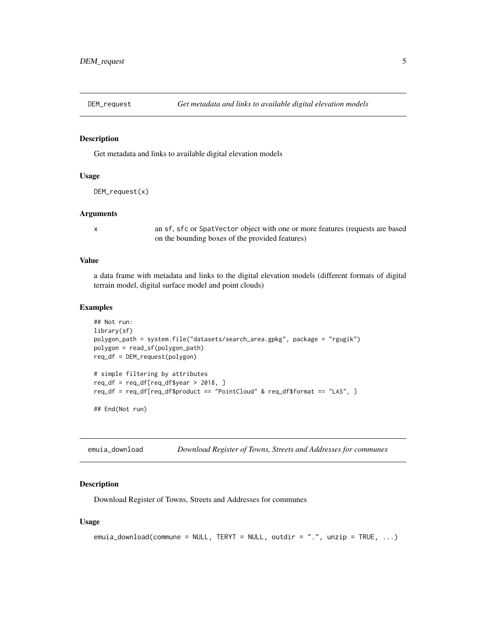<span id="page-4-1"></span><span id="page-4-0"></span>

Get metadata and links to available digital elevation models

#### Usage

```
DEM_request(x)
```
#### Arguments

x an sf, sfc or SpatVector object with one or more features (requests are based on the bounding boxes of the provided features)

#### Value

a data frame with metadata and links to the digital elevation models (different formats of digital terrain model, digital surface model and point clouds)

#### Examples

```
## Not run:
library(sf)
polygon_path = system.file("datasets/search_area.gpkg", package = "rgugik")
polygon = read_sf(polygon_path)
req_df = DEM_request(polygon)
# simple filtering by attributes
req\_df = req\_df[req\_df\req_df = req_df[req_df$product == "PointCloud" & req_df$format == "LAS", ]
```
## End(Not run)

emuia\_download *Download Register of Towns, Streets and Addresses for communes*

#### Description

Download Register of Towns, Streets and Addresses for communes

#### Usage

```
emuia_download(commune = NULL, TERYT = NULL, outdir = ".", unzip = TRUE, ...)
```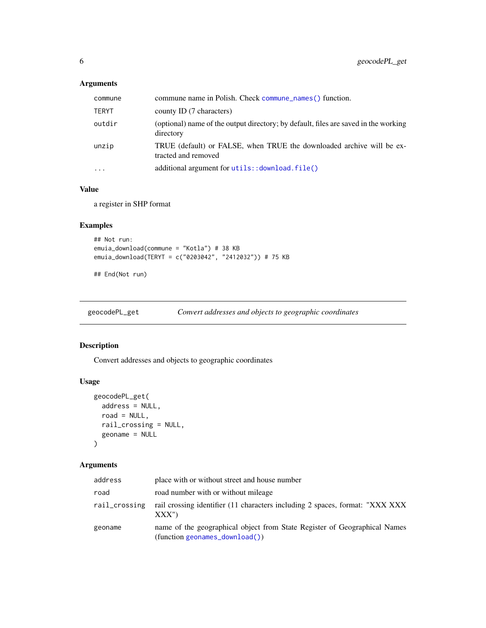# <span id="page-5-0"></span>Arguments

| commune   | commune name in Polish. Check commune names () function.                                         |
|-----------|--------------------------------------------------------------------------------------------------|
| TERYT     | county ID (7 characters)                                                                         |
| outdir    | (optional) name of the output directory; by default, files are saved in the working<br>directory |
| unzip     | TRUE (default) or FALSE, when TRUE the downloaded archive will be ex-<br>tracted and removed     |
| $\ddotsc$ | additional argument for utils:: download.file()                                                  |

#### Value

a register in SHP format

# Examples

```
## Not run:
emuia_download(commune = "Kotla") # 38 KB
emuia_download(TERYT = c("0203042", "2412032")) # 75 KB
```
## End(Not run)

geocodePL\_get *Convert addresses and objects to geographic coordinates*

# Description

Convert addresses and objects to geographic coordinates

# Usage

```
geocodePL_get(
 address = NULL,
 road = NULL,rail_crossing = NULL,
  geoname = NULL
)
```
# Arguments

| address       | place with or without street and house number                                                                    |
|---------------|------------------------------------------------------------------------------------------------------------------|
| road          | road number with or without mileage                                                                              |
| rail_crossing | rail crossing identifier (11 characters including 2 spaces, format: "XXX XXX"<br>XXX'                            |
| geoname       | name of the geographical object from State Register of Geographical Names<br>$(function$ geonames_download $())$ |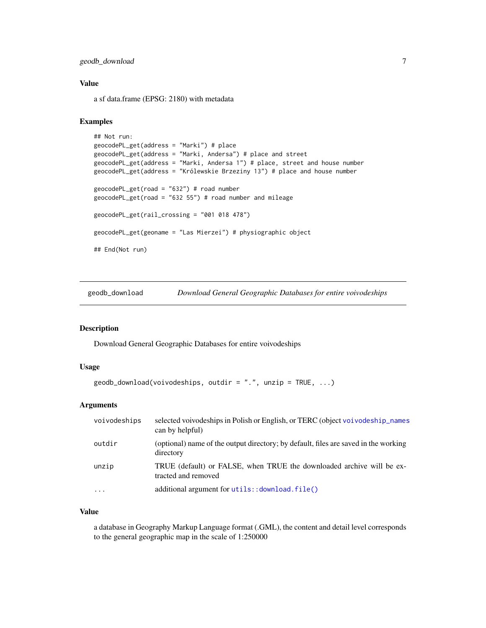# <span id="page-6-0"></span>geodb\_download 7

#### Value

a sf data.frame (EPSG: 2180) with metadata

# Examples

```
## Not run:
geocodePL_get(address = "Marki") # place
geocodePL_get(address = "Marki, Andersa") # place and street
geocodePL_get(address = "Marki, Andersa 1") # place, street and house number
geocodePL_get(address = "Królewskie Brzeziny 13") # place and house number
geocodePL_get(road = "632") # road number
geocodePL_get(road = "632 55") # road number and mileage
geocodePL_get(rail_crossing = "001 018 478")
geocodePL_get(geoname = "Las Mierzei") # physiographic object
## End(Not run)
```
geodb\_download *Download General Geographic Databases for entire voivodeships*

#### Description

Download General Geographic Databases for entire voivodeships

#### Usage

```
geodb_download(voivodeships, outdir = "."", unzip = TRUE, ...)
```
# Arguments

| voivodeships | selected voivodeships in Polish or English, or TERC (object voivodeship_names<br>can by helpful) |
|--------------|--------------------------------------------------------------------------------------------------|
| outdir       | (optional) name of the output directory; by default, files are saved in the working<br>directory |
| unzip        | TRUE (default) or FALSE, when TRUE the downloaded archive will be ex-<br>tracted and removed     |
| $\ddotsc$    | additional argument for utils:: download.file()                                                  |

#### Value

a database in Geography Markup Language format (.GML), the content and detail level corresponds to the general geographic map in the scale of 1:250000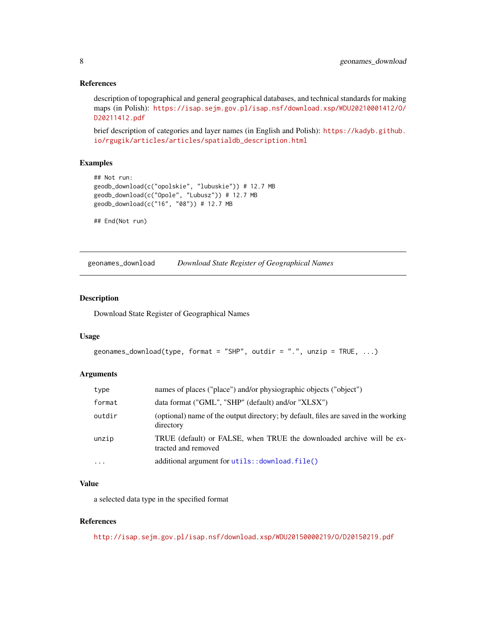#### <span id="page-7-0"></span>References

description of topographical and general geographical databases, and technical standards for making maps (in Polish): [https://isap.sejm.gov.pl/isap.nsf/download.xsp/WDU20210001412/O/](https://isap.sejm.gov.pl/isap.nsf/download.xsp/WDU20210001412/O/D20211412.pdf) [D20211412.pdf](https://isap.sejm.gov.pl/isap.nsf/download.xsp/WDU20210001412/O/D20211412.pdf)

brief description of categories and layer names (in English and Polish): [https://kadyb.github.](https://kadyb.github.io/rgugik/articles/articles/spatialdb_description.html) [io/rgugik/articles/articles/spatialdb\\_description.html](https://kadyb.github.io/rgugik/articles/articles/spatialdb_description.html)

#### Examples

```
## Not run:
geodb_download(c("opolskie", "lubuskie")) # 12.7 MB
geodb_download(c("Opole", "Lubusz")) # 12.7 MB
geodb_download(c("16", "08")) # 12.7 MB
```
## End(Not run)

<span id="page-7-1"></span>geonames\_download *Download State Register of Geographical Names*

#### Description

Download State Register of Geographical Names

#### Usage

```
geonames_download(type, format = "SHP", outdir = ".", unzip = TRUE, ...)
```
#### **Arguments**

| type      | names of places ("place") and/or physiographic objects ("object")                                |
|-----------|--------------------------------------------------------------------------------------------------|
| format    | data format ("GML", "SHP" (default) and/or "XLSX")                                               |
| outdir    | (optional) name of the output directory; by default, files are saved in the working<br>directory |
| unzip     | TRUE (default) or FALSE, when TRUE the downloaded archive will be ex-<br>tracted and removed     |
| $\ddotsc$ | additional argument for utils:: download.file()                                                  |

#### Value

a selected data type in the specified format

#### References

<http://isap.sejm.gov.pl/isap.nsf/download.xsp/WDU20150000219/O/D20150219.pdf>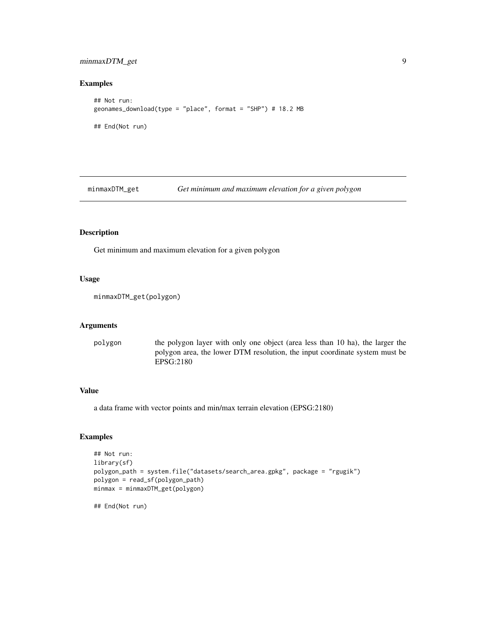# <span id="page-8-0"></span>minmaxDTM\_get 9

# Examples

```
## Not run:
geonames_download(type = "place", format = "SHP") # 18.2 MB
## End(Not run)
```
minmaxDTM\_get *Get minimum and maximum elevation for a given polygon*

#### Description

Get minimum and maximum elevation for a given polygon

# Usage

```
minmaxDTM_get(polygon)
```
#### Arguments

polygon the polygon layer with only one object (area less than 10 ha), the larger the polygon area, the lower DTM resolution, the input coordinate system must be EPSG:2180

# Value

a data frame with vector points and min/max terrain elevation (EPSG:2180)

# Examples

```
## Not run:
library(sf)
polygon_path = system.file("datasets/search_area.gpkg", package = "rgugik")
polygon = read_sf(polygon_path)
minmax = minmaxDTM_get(polygon)
```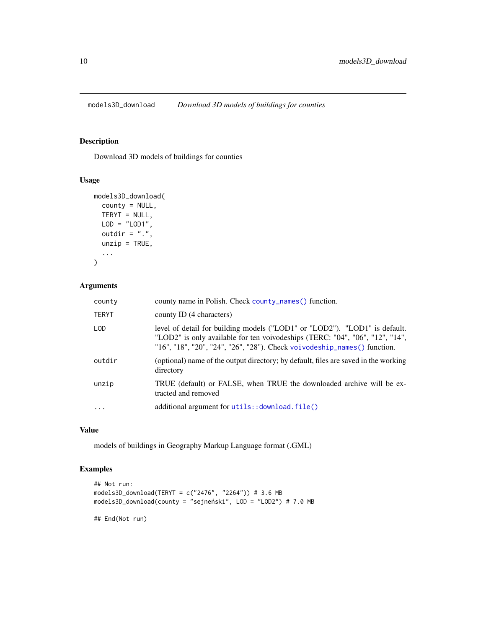<span id="page-9-0"></span>models3D\_download *Download 3D models of buildings for counties*

#### Description

Download 3D models of buildings for counties

#### Usage

```
models3D_download(
  county = NULL,
  TERYT = NULL,
  LOD = "LOD1",outdir = ".".unzip = TRUE,...
\mathcal{L}
```
# Arguments

| county       | county name in Polish. Check county_names() function.                                                                                                                                                                                                          |
|--------------|----------------------------------------------------------------------------------------------------------------------------------------------------------------------------------------------------------------------------------------------------------------|
| <b>TERYT</b> | county ID (4 characters)                                                                                                                                                                                                                                       |
| LOD.         | level of detail for building models ("LOD1" or "LOD2"). "LOD1" is default.<br>"LOD2" is only available for ten voivodeships (TERC: "04", "06", "12", "14",<br>" $16$ ", " $18$ ", " $20$ ", " $24$ ", " $26$ ", " $28$ "). Check voivodeship_names() function. |
| outdir       | (optional) name of the output directory; by default, files are saved in the working<br>directory                                                                                                                                                               |
| unzip        | TRUE (default) or FALSE, when TRUE the downloaded archive will be ex-<br>tracted and removed                                                                                                                                                                   |
|              | additional argument for utils:: download.file()                                                                                                                                                                                                                |
|              |                                                                                                                                                                                                                                                                |

# Value

models of buildings in Geography Markup Language format (.GML)

# Examples

```
## Not run:
models3D_download(TERYT = c("2476", "2264")) # 3.6 MB
models3D_download(county = "sejneński", LOD = "LOD2") # 7.0 MB
```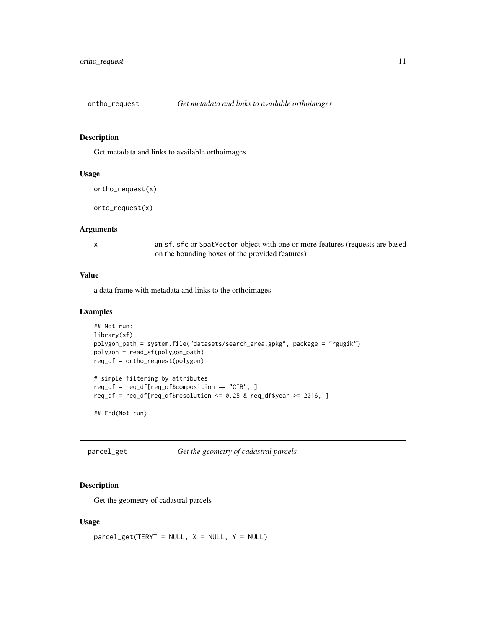<span id="page-10-1"></span><span id="page-10-0"></span>

Get metadata and links to available orthoimages

# Usage

```
ortho_request(x)
```
orto\_request(x)

#### Arguments

x an sf, sfc or SpatVector object with one or more features (requests are based on the bounding boxes of the provided features)

# Value

a data frame with metadata and links to the orthoimages

#### Examples

```
## Not run:
library(sf)
polygon_path = system.file("datasets/search_area.gpkg", package = "rgugik")
polygon = read_sf(polygon_path)
req_df = ortho_request(polygon)
# simple filtering by attributes
req_df = req_df[req_df$composition == "CIR", ]
req_df = req_df[req_df$resolution <= 0.25 & req_df$year >= 2016, ]
## End(Not run)
```
parcel\_get *Get the geometry of cadastral parcels*

#### Description

Get the geometry of cadastral parcels

#### Usage

```
\text{parcell\_get}(\text{TERYT} = \text{NULL}, \text{X} = \text{NULL}, \text{Y} = \text{NULL})
```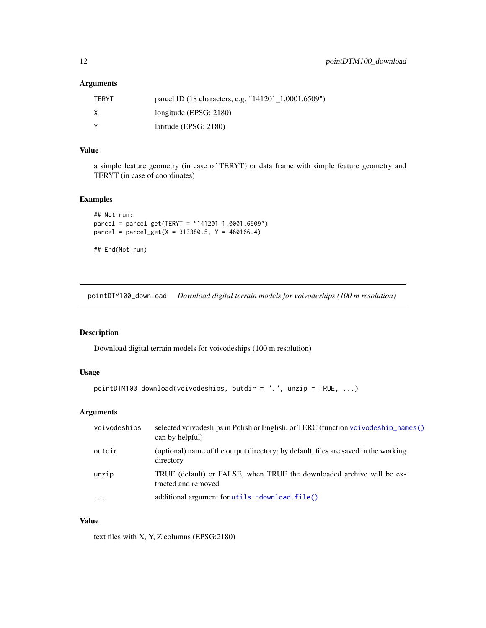# <span id="page-11-0"></span>Arguments

| TERYT | parcel ID (18 characters, e.g. "141201_1.0001.6509") |
|-------|------------------------------------------------------|
| X     | longitude (EPSG: $2180$ )                            |
| ٧     | latitude (EPSG: $2180$ )                             |

#### Value

a simple feature geometry (in case of TERYT) or data frame with simple feature geometry and TERYT (in case of coordinates)

# Examples

```
## Not run:
parcel = parcel_get(TERYT = "141201_1.0001.6509")
\text{parcell} = \text{parcell\_get}(X = 313380.5, Y = 460166.4)
```

```
## End(Not run)
```
pointDTM100\_download *Download digital terrain models for voivodeships (100 m resolution)*

# Description

Download digital terrain models for voivodeships (100 m resolution)

# Usage

```
pointDTM100_download(voivodeships, outdir = ".", unzip = TRUE, ...)
```
# Arguments

| voivodeships | selected voivodeships in Polish or English, or TERC (function voivodeship_names()<br>can by helpful) |
|--------------|------------------------------------------------------------------------------------------------------|
| outdir       | (optional) name of the output directory; by default, files are saved in the working<br>directory     |
| unzip        | TRUE (default) or FALSE, when TRUE the downloaded archive will be ex-<br>tracted and removed         |
| $\ddotsc$    | additional argument for utils:: download.file()                                                      |

#### Value

text files with X, Y, Z columns (EPSG:2180)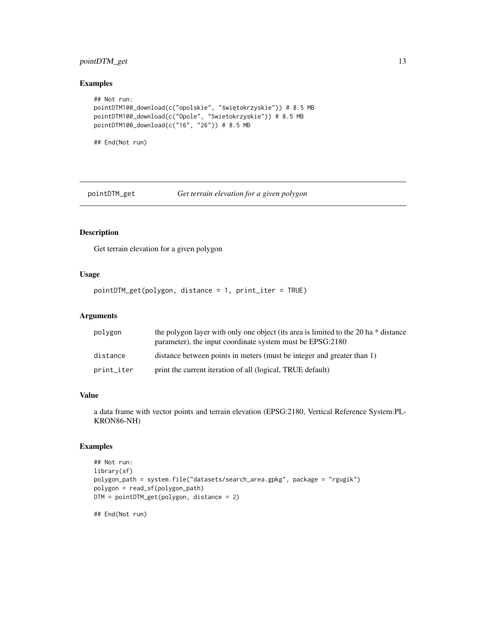# <span id="page-12-0"></span>pointDTM\_get 13

# Examples

```
## Not run:
pointDTM100_download(c("opolskie", "świętokrzyskie")) # 8.5 MB
pointDTM100_download(c("Opole", "Swietokrzyskie")) # 8.5 MB
pointDTM100_download(c("16", "26")) # 8.5 MB
```
## End(Not run)

pointDTM\_get *Get terrain elevation for a given polygon*

# Description

Get terrain elevation for a given polygon

# Usage

pointDTM\_get(polygon, distance = 1, print\_iter = TRUE)

# Arguments

| polygon    | the polygon layer with only one object (its area is limited to the 20 ha * distance<br>parameter), the input coordinate system must be EPSG:2180 |
|------------|--------------------------------------------------------------------------------------------------------------------------------------------------|
| distance   | distance between points in meters (must be integer and greater than 1)                                                                           |
| print_iter | print the current iteration of all (logical, TRUE default)                                                                                       |

#### Value

a data frame with vector points and terrain elevation (EPSG:2180, Vertical Reference System:PL-KRON86-NH)

#### Examples

```
## Not run:
library(sf)
polygon_path = system.file("datasets/search_area.gpkg", package = "rgugik")
polygon = read_sf(polygon_path)
DTM = pointDTM_get(polygon, distance = 2)
```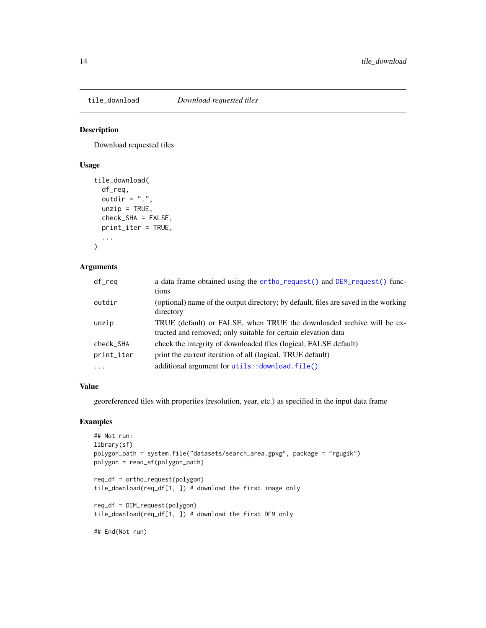<span id="page-13-0"></span>

Download requested tiles

#### Usage

```
tile_download(
 df_req,
 outdir = ".".unzip = TRUE,check_SHA = FALSE,
 print_iter = TRUE,
  ...
)
```
# Arguments

| df_req     | a data frame obtained using the ortho_request() and DEM_request() func-<br>tions                                                       |
|------------|----------------------------------------------------------------------------------------------------------------------------------------|
| outdir     | (optional) name of the output directory; by default, files are saved in the working<br>directory                                       |
| unzip      | TRUE (default) or FALSE, when TRUE the downloaded archive will be ex-<br>tracted and removed; only suitable for certain elevation data |
| check_SHA  | check the integrity of downloaded files (logical, FALSE default)                                                                       |
| print_iter | print the current iteration of all (logical, TRUE default)                                                                             |
| .          | additional argument for utils:: download.file()                                                                                        |

#### Value

georeferenced tiles with properties (resolution, year, etc.) as specified in the input data frame

# Examples

```
## Not run:
library(sf)
polygon_path = system.file("datasets/search_area.gpkg", package = "rgugik")
polygon = read_sf(polygon_path)
```
req\_df = ortho\_request(polygon) tile\_download(req\_df[1, ]) # download the first image only

req\_df = DEM\_request(polygon) tile\_download(req\_df[1, ]) # download the first DEM only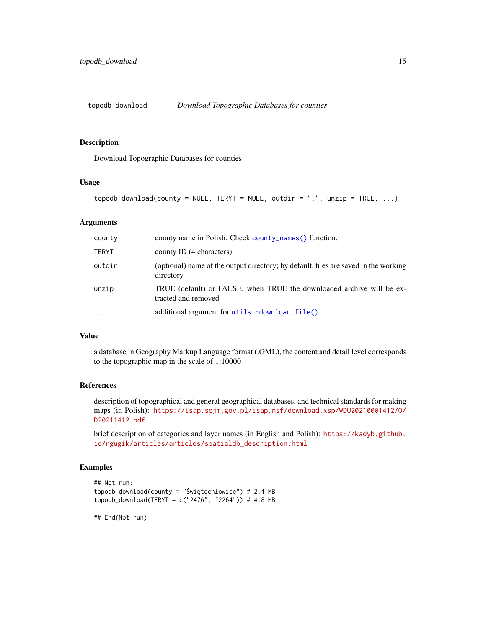<span id="page-14-0"></span>

Download Topographic Databases for counties

## Usage

```
topodb_download(county = NULL, TERYT = NULL, outdir = ".", unzip = TRUE, ...)
```
# Arguments

| county       | county name in Polish. Check county_names() function.                                            |
|--------------|--------------------------------------------------------------------------------------------------|
| <b>TERYT</b> | county ID (4 characters)                                                                         |
| outdir       | (optional) name of the output directory; by default, files are saved in the working<br>directory |
| unzip        | TRUE (default) or FALSE, when TRUE the downloaded archive will be ex-<br>tracted and removed     |
| $\ddotsc$    | additional argument for utils:: download.file()                                                  |

# Value

a database in Geography Markup Language format (.GML), the content and detail level corresponds to the topographic map in the scale of 1:10000

#### References

description of topographical and general geographical databases, and technical standards for making maps (in Polish): [https://isap.sejm.gov.pl/isap.nsf/download.xsp/WDU20210001412/O/](https://isap.sejm.gov.pl/isap.nsf/download.xsp/WDU20210001412/O/D20211412.pdf) [D20211412.pdf](https://isap.sejm.gov.pl/isap.nsf/download.xsp/WDU20210001412/O/D20211412.pdf)

brief description of categories and layer names (in English and Polish): [https://kadyb.github.](https://kadyb.github.io/rgugik/articles/articles/spatialdb_description.html) [io/rgugik/articles/articles/spatialdb\\_description.html](https://kadyb.github.io/rgugik/articles/articles/spatialdb_description.html)

# Examples

```
## Not run:
topodb_download(county = "Świętochłowice") # 2.4 MB
topodb_download(TERYT = c("2476", "2264")) # 4.8 MB
```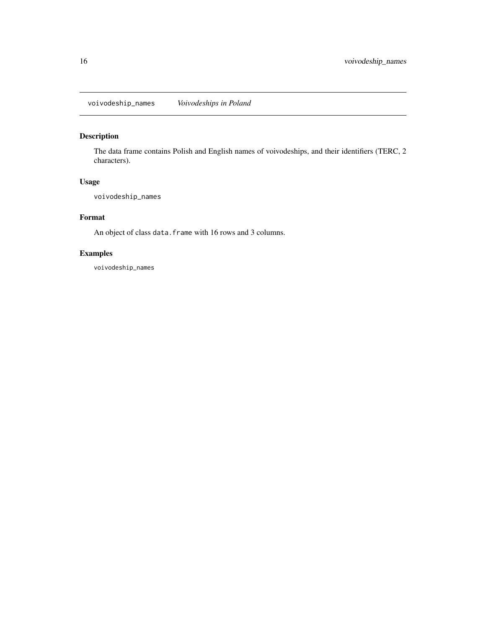<span id="page-15-1"></span><span id="page-15-0"></span>voivodeship\_names *Voivodeships in Poland*

# Description

The data frame contains Polish and English names of voivodeships, and their identifiers (TERC, 2 characters).

# Usage

voivodeship\_names

#### Format

An object of class data. frame with 16 rows and 3 columns.

# Examples

voivodeship\_names